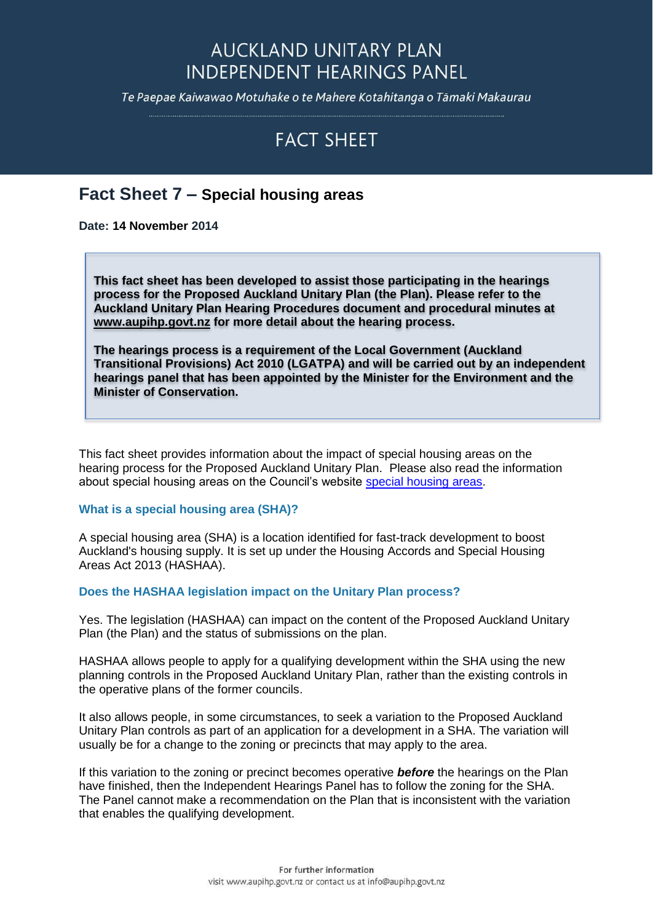## **AUCKLAND UNITARY PLAN INDEPENDENT HEARINGS PANEL**

Te Paepae Kaiwawao Motuhake o te Mahere Kotahitanga o Tāmaki Makaurau

# **FACT SHEET**

### **Fact Sheet 7 – Special housing areas**

**Date: 14 November 2014**

**This fact sheet has been developed to assist those participating in the hearings process for the Proposed Auckland Unitary Plan (the Plan). Please refer to the Auckland Unitary Plan Hearing Procedures document and procedural minutes at [www.aupihp.govt.nz](http://www.aupihp.govt.nz/) for more detail about the hearing process.**

**The hearings process is a requirement of the Local Government (Auckland Transitional Provisions) Act 2010 (LGATPA) and will be carried out by an independent hearings panel that has been appointed by the Minister for the Environment and the Minister of Conservation.** 

This fact sheet provides information about the impact of special housing areas on the hearing process for the Proposed Auckland Unitary Plan. Please also read the information about special housing areas on the Council's website [special housing areas.](http://www.aucklandcouncil.govt.nz/en/search/pages/search.aspx?k=special%20housing%20areas)

#### **What is a special housing area (SHA)?**

A special housing area (SHA) is a location identified for fast-track development to boost Auckland's housing supply. It is set up under the Housing Accords and Special Housing Areas Act 2013 (HASHAA).

#### **Does the HASHAA legislation impact on the Unitary Plan process?**

Yes. The legislation (HASHAA) can impact on the content of the Proposed Auckland Unitary Plan (the Plan) and the status of submissions on the plan.

HASHAA allows people to apply for a qualifying development within the SHA using the new planning controls in the Proposed Auckland Unitary Plan, rather than the existing controls in the operative plans of the former councils.

It also allows people, in some circumstances, to seek a variation to the Proposed Auckland Unitary Plan controls as part of an application for a development in a SHA. The variation will usually be for a change to the zoning or precincts that may apply to the area.

If this variation to the zoning or precinct becomes operative *before* the hearings on the Plan have finished, then the Independent Hearings Panel has to follow the zoning for the SHA. The Panel cannot make a recommendation on the Plan that is inconsistent with the variation that enables the qualifying development.